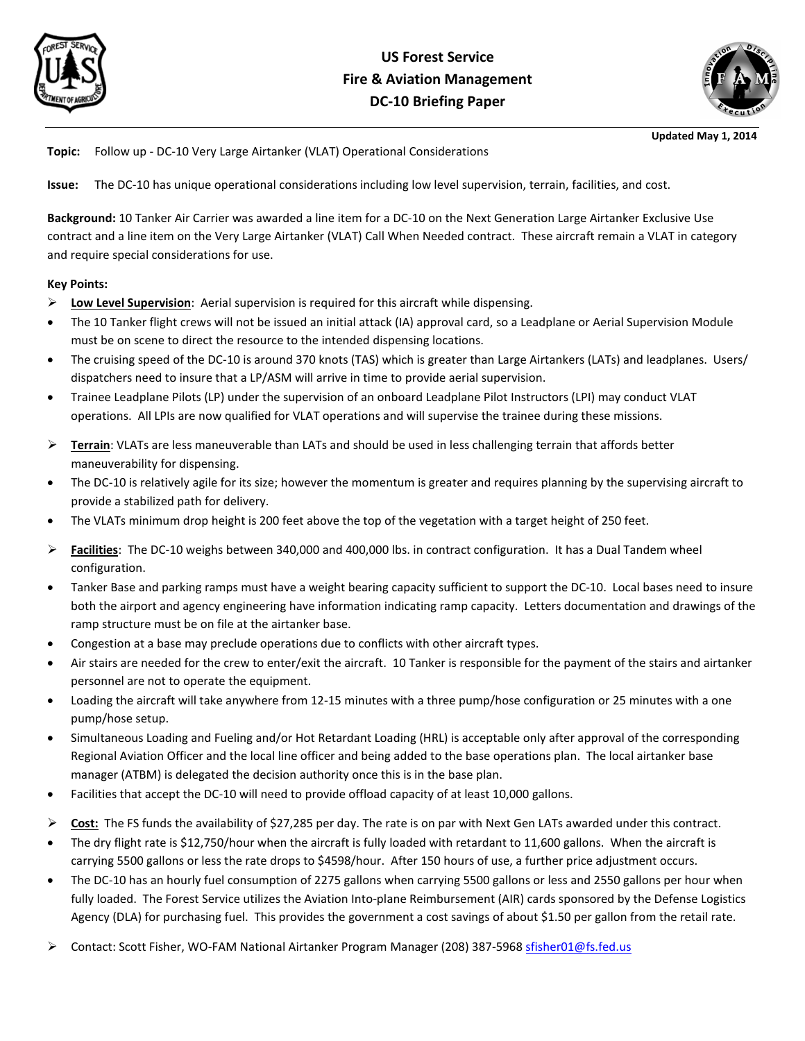



**Updated May 1, 2014**

**Topic:** Follow up - DC-10 Very Large Airtanker (VLAT) Operational Considerations

**Issue:** The DC-10 has unique operational considerations including low level supervision, terrain, facilities, and cost.

**Background:** 10 Tanker Air Carrier was awarded a line item for a DC-10 on the Next Generation Large Airtanker Exclusive Use contract and a line item on the Very Large Airtanker (VLAT) Call When Needed contract. These aircraft remain a VLAT in category and require special considerations for use.

#### **Key Points:**

- **Low Level Supervision**: Aerial supervision is required for this aircraft while dispensing.
- The 10 Tanker flight crews will not be issued an initial attack (IA) approval card, so a Leadplane or Aerial Supervision Module must be on scene to direct the resource to the intended dispensing locations.
- The cruising speed of the DC-10 is around 370 knots (TAS) which is greater than Large Airtankers (LATs) and leadplanes. Users/ dispatchers need to insure that a LP/ASM will arrive in time to provide aerial supervision.
- Trainee Leadplane Pilots (LP) under the supervision of an onboard Leadplane Pilot Instructors (LPI) may conduct VLAT operations. All LPIs are now qualified for VLAT operations and will supervise the trainee during these missions.
- **►** Terrain: VLATs are less maneuverable than LATs and should be used in less challenging terrain that affords better maneuverability for dispensing.
- The DC-10 is relatively agile for its size; however the momentum is greater and requires planning by the supervising aircraft to provide a stabilized path for delivery.
- The VLATs minimum drop height is 200 feet above the top of the vegetation with a target height of 250 feet.
- **Facilities**: The DC-10 weighs between 340,000 and 400,000 lbs. in contract configuration. It has a Dual Tandem wheel configuration.
- Tanker Base and parking ramps must have a weight bearing capacity sufficient to support the DC-10. Local bases need to insure both the airport and agency engineering have information indicating ramp capacity. Letters documentation and drawings of the ramp structure must be on file at the airtanker base.
- Congestion at a base may preclude operations due to conflicts with other aircraft types.
- Air stairs are needed for the crew to enter/exit the aircraft. 10 Tanker is responsible for the payment of the stairs and airtanker personnel are not to operate the equipment.
- Loading the aircraft will take anywhere from 12-15 minutes with a three pump/hose configuration or 25 minutes with a one pump/hose setup.
- Simultaneous Loading and Fueling and/or Hot Retardant Loading (HRL) is acceptable only after approval of the corresponding Regional Aviation Officer and the local line officer and being added to the base operations plan. The local airtanker base manager (ATBM) is delegated the decision authority once this is in the base plan.
- Facilities that accept the DC-10 will need to provide offload capacity of at least 10,000 gallons.
- **Cost:** The FS funds the availability of \$27,285 per day. The rate is on par with Next Gen LATs awarded under this contract.
- The dry flight rate is \$12,750/hour when the aircraft is fully loaded with retardant to 11,600 gallons. When the aircraft is carrying 5500 gallons or less the rate drops to \$4598/hour. After 150 hours of use, a further price adjustment occurs.
- The DC-10 has an hourly fuel consumption of 2275 gallons when carrying 5500 gallons or less and 2550 gallons per hour when fully loaded. The Forest Service utilizes the Aviation Into-plane Reimbursement (AIR) cards sponsored by the Defense Logistics Agency (DLA) for purchasing fuel. This provides the government a cost savings of about \$1.50 per gallon from the retail rate.
- ▶ Contact: Scott Fisher, WO-FAM National Airtanker Program Manager (208) 387-5968 sfisher01@fs.fed.us